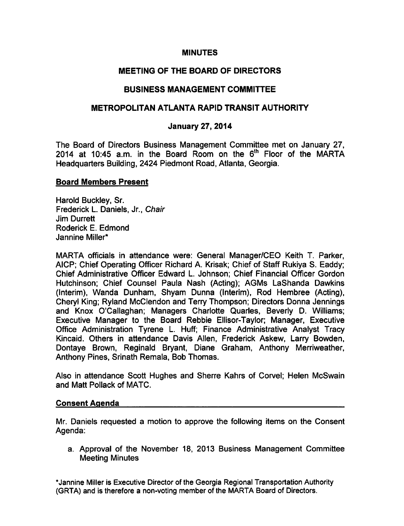#### **MINUTES**

# MEETING OF THE BOARD OF DIRECTORS

# BUSINESS MANAGEMENT COMMITTEE

## METROPOLITAN ATLANTA RAPID TRANSIT AUTHORITY

# January 27, 2014

The Board of Directors Business Management Committee met on January 27, 2014 at 10:45 a.m. in the Board Room on the 6<sup>th</sup> Floor of the MARTA Headquarters Building, 2424 Piedmont Road, Atlanta, Georgia.

#### Board Members Present

Harold Buckley, Sr. Frederick L. Daniels, Jr., Chair Jim Durrett Roderick E. Edmond Jannine Miller\*

MARTA officials in attendance were: General Manager/CEO Keith T. Parker, AICP; Chief Operating Officer Richard A. Krisak; Chief of Staff Rukiya S. Eaddy; Chief Administrative Officer Edward L. Johnson; Chief Financial Officer Gordon Hutchinson; Chief Counsel Paula Nash (Acting); AGMs LaShanda Dawkins (Interim), Wanda Dunham, Shyam Dunna (Interim), Rod Hembree (Acting), Cheryl King; Ryland McClendon and Terry Thompson; Directors Donna Jennings and Knox O'Callaghan; Managers Charlotte Quarles, Beverly D. Williams; Executive Manager to the Board Rebbie Ellisor-Taylor; Manager, Executive Office Administration Tyrene L. Huff; Finance Administrative Analyst Tracy Kincaid. Others in attendance Davis Allen, Frederick Askew, Larry Bowden, Dontaye Brown, Reginald Bryant, Diane Graham, Anthony Merriweather, Anthony Pines, Srinath Remala, Bob Thomas.

Also in attendance Scott Hughes and Sherre Kahrs of Corvel; Helen McSwain and Matt Pollack of MATC.

## Consent Agenda

Mr. Daniels requested a motion to approve the following items on the Consent Agenda:

a. Approval of the November 18, 2013 Business Management Committee Meeting Minutes

\*Jannine Miller is Executive Director of the Georgia Regional Transportation Authority (GRTA) and is therefore a non-voting member of the MARTA Board of Directors.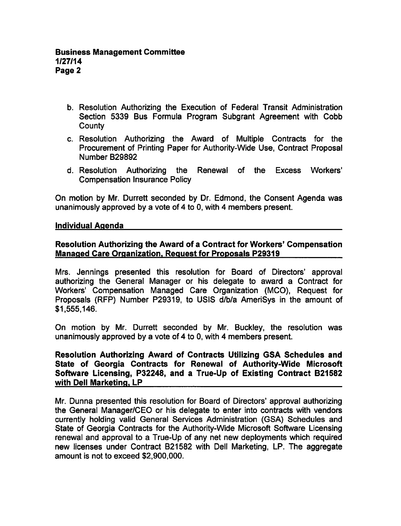- b. Resolution Authorizing the Execution of Federal Transit Administration Section 5339 Bus Formula Program Subgrant Agreement with Cobb **County**
- c. Resolution Authorizing the Award of Multiple Contracts for the Procurement of Printing Paper for Authority-Wide Use, Contract Proposal Number B29892
- d. Resolution Authorizing the Renewal of the Excess Workers' Compensation Insurance Policy

On motion by Mr. Durrett seconded by Dr. Edmond, the Consent Agenda was unanimously approved by a vote of  $4$  to 0, with  $4$  members present.

#### Individual Agenda

# Resolution Authorizing the Award of a Contract for Workers' Compensation Managed Care Organization. Request for Proposals P29319

Mrs. Jennings presented this resolution for Board of Directors' approval authorizing the General Manager or his delegate to award a Contract for Workers' Compensation Managed Care Organization (MCO), Request for Proposals (RFP) Number P29319, to USIS d/b/a AmeriSys in the amount of \$1,555,146.

On motion by Mr. Durrett seconded by Mr. Buckley, the resolution was unanimously approved by a vote of  $4$  to 0, with  $4$  members present.

Resolution Authorizing Award of Contracts Utilizing GSA Schedules and State of Georgia Contracts for Renewal of Authority-Wide Microsoft Software Licensing, P32248, and a True-Up of Existing Contract B21582 with Dell Marketing, LP

Mr. Dunna presented this resolution for Board of Directors' approval authorizing the General Manager/CEO or his delegate to enter into contracts with vendors currently holding valid General Services Administration (GSA) Schedules and State of Georgia Contracts for the Authority-Wide Microsoft Software Licensing renewal and approval to a True-Up of any net new deployments which required new licenses under Contract B21582 with Dell Marketing, LP. The aggregate amount is not to exceed \$2,900,000.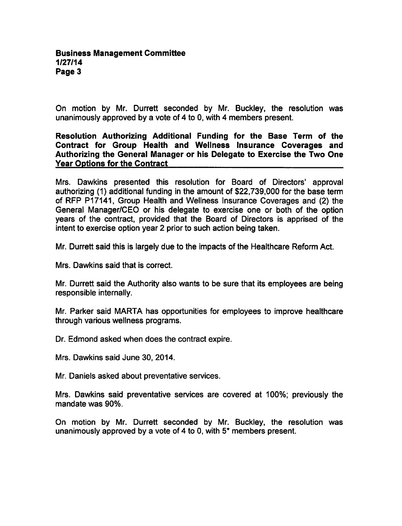On motion by Mr. Durrett seconded by Mr. Buckley, the resolution was unanimously approved by a vote of 4 to 0, with 4 members present.

Resolution Authorizing Additional Funding for the Base Term of the Contract for Group Health and Wellness Insurance Coverages and Authorizing the General Manager or his Delegate to Exercise the Two One Year Options for the Contract

Mrs. Dawkins presented this resolution for Board of Directors' approval authorizing (1) additional funding in the amount of \$22,739,000 for the base term of RFP P17141, Group Health and Wellness Insurance Coverages and (2) the General Manager/CEO or his delegate to exercise one or both of the option years of the contract, provided that the Board of Directors is apprised of the intent to exercise option year 2 prior to such action being taken.

Mr. Durrett said this is largely due to the impacts of the Healthcare Reform Act.

Mrs. Dawkins said that is correct.

Mr. Durrett said the Authority also wants to be sure that its employees are being responsible internally.

Mr. Parker said MARTA has opportunities for employees to improve healthcare through various wellness programs.

Dr. Edmond asked when does the contract expire.

Mrs. Dawkins said June 30, 2014.

Mr. Daniels asked about preventative services.

Mrs. Dawkins said preventative services are covered at 100%; previously the mandate was 90%.

On motion by Mr. Durrett seconded by Mr. Buckley, the resolution was unanimously approved by a vote of 4 to 0, with  $5<sup>*</sup>$  members present.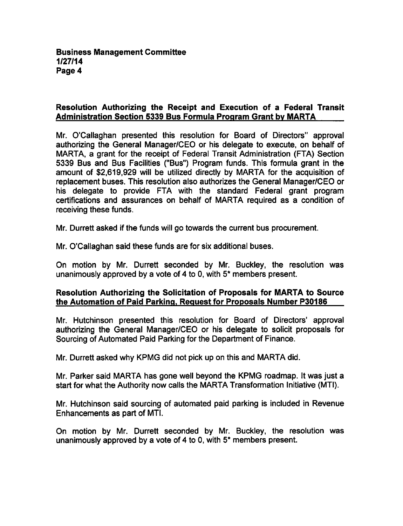# Resolution Authorizing the Receipt and Execution of a Federal Transit Administration Section 5339 Bus Formula Program Grant bv MARTA

Mr. O'Callaghan presented this resolution for Board of Directors" approval authorizing the General Manager/CEO or his delegate to execute, on behalf of MARTA, a grant for the receipt of Federal Transit Administration (FTA) Section 5339 Bus and Bus Facilities ("Bus") Program funds. This formula grant in the amount of \$2,619,929 will be utilized directly by MARTA for the acquisition of replacement buses. This resolution also authorizes the General Manager/CEO or his delegate to provide FTA with the standard Federal grant program certifications and assurances on behalf of MARTA required as condition of receiving these funds.

Mr. Durrett asked if the funds will go towards the current bus procurement.

Mr. O'Callaghan said these funds are for six additional buses.

On motion by Mr. Durrett seconded by Mr. Buckley, the resolution was unanimously approved by a vote of 4 to 0, with  $5*$  members present.

## Resolution Authorizing the Solicitation of Proposals for MARTA to Source the Automation of Paid Parking. Request for Proposals Number P30186

Mr. Hutchinson presented this resolution for Board of Directors' approval authorizing the General Manager/CEO or his delegate to solicit proposals for Sourcing of Automated Paid Parking for the Department of Finance.

Mr. Durrett asked why KPMG did not pick up on this and MARTA did.

Mr. Parker said MARTA has gone well beyond the KPMG roadmap. It was just start for what the Authority now calls the MARTA Transformation Initiative (MTI).

Mr. Hutchinson said sourcing of automated paid parking is included in Revenue Enhancements as part of MTI.

On motion by Mr. Durrett seconded by Mr. Buckley, the resolution was unanimously approved by a vote of 4 to 0, with  $5<sup>*</sup>$  members present.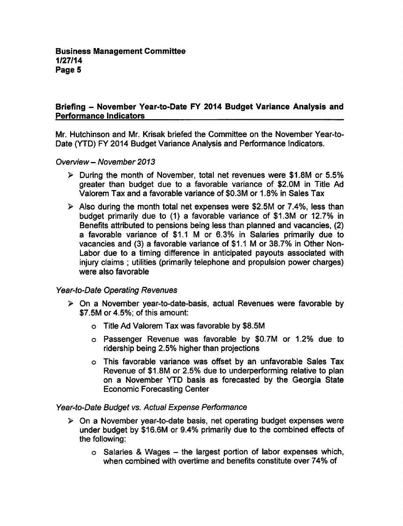## Briefing - November Year-to-Date FY 2014 Budget Variance Analysis and Performance Indicators

Mr. Hutchinson and Mr. Krisak briefed the Committee on the November Year-to-Date (YTD) FY 2014 Budget Variance Analysis and Performance Indicators.

Overview - November 2013

- $\triangleright$  During the month of November, total net revenues were \$1.8M or 5.5% greater than budget due to a favorable variance of \$2.0M in Title Ad Valorem Tax and a favorable variance of \$0.3M or 1.8% in Sales Tax
- $\triangleright$  Also during the month total net expenses were \$2.5M or 7.4%, less than budget primarily due to  $(1)$  a favorable variance of \$1.3M or 12.7% in Benefits attributed to pensions being less than planned and vacancies, (2) a favorable variance of \$1.1 M or 6.3% in Salaries primarily due to vacancies and (3) a favorable variance of \$1.1 M or 38.7% in Other Non-Labor due to a timing difference in anticipated payouts associated with injury claims; utilities (primarily telephone and propulsion power charges) were also favorable

## Year-to-Date Operating Revenues

- $\triangleright$  On a November year-to-date-basis, actual Revenues were favorable by \$7.5M or 4.5%; of this amount:
	- Title Ad Valorem Tax was favorable by \$8.5M
	- Passenger Revenue was favorable by \$0.7M or 1.2% due to ridership being 2.5% higher than projections
	- This favorable variance was offset by an unfavorable Sales Tax Revenue of \$1.8M or 2.5% due to underperforming relative to plan on a November YTD basis as forecasted by the Georgia State Economic Forecasting Center

#### Year-to-Date Budget vs. Actual Expense Performance

- $\triangleright$  On a November year-to-date basis, net operating budget expenses were under budget by \$16.6M or 9.4% primarily due to the combined effects of the following:
	- $\circ$  Salaries & Wages the largest portion of labor expenses which, when combined with overtime and benefits constitute over 74% of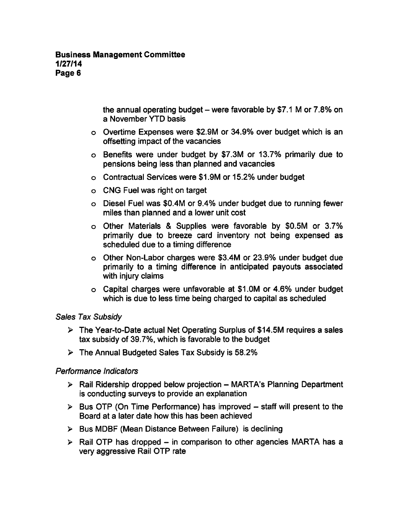the annual operating budget – were favorable by \$7.1 M or  $7.8\%$  on a November YTD basis

- Overtime Expenses were \$2.9M or 34.9% over budget which is an offsetting impact of the vacancies
- Benefits were under budget by \$7.3M or 13.7% primarily due to pensions being less than planned and vacancies
- Contractual Services were \$1.9M or 15.2% under budget
- CNG Fuel was right on target
- Diesel Fuel was \$0.4M or 9.4% under budget due to running fewer miles than planned and a lower unit cost
- o Other Materials & Supplies were favorable by \$0.5M or 3.7% primarily due to breeze card inventory not being expensed as scheduled due to a timing difference
- o Other Non-Labor charges were \$3.4M or 23.9% under budget due primarily to a timing difference in anticipated payouts associated with injury claims
- Capital charges were unfavorable at \$1.0M or 4.6% under budget which is due to less time being charged to capital as scheduled

#### Sales Tax Subsidy

- $\triangleright$  The Year-to-Date actual Net Operating Surplus of \$14.5M requires a sales tax subsidy of 39.7%, which is favorable to the budget
- The Annual Budgeted Sales Tax Subsidy is 58.2%

## Performance Indicators

- $\triangleright$  Rail Ridership dropped below projection MARTA's Planning Department is conducting surveys to provide an explanation
- $\triangleright$  Bus OTP (On Time Performance) has improved staff will present to the Board at a later date how this has been achieved
- $\triangleright$  Bus MDBF (Mean Distance Between Failure) is declining
- $\triangleright$  Rail OTP has dropped in comparison to other agencies MARTA has a very aggressive Rail OTP rate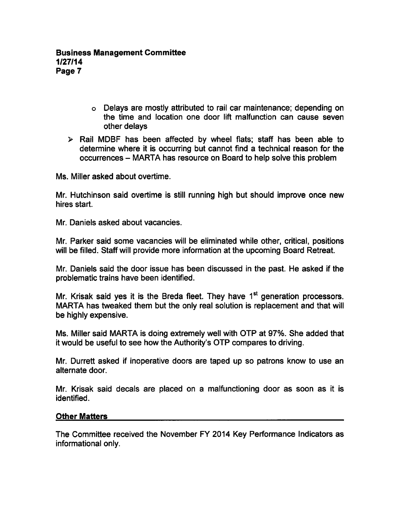- Delays are mostly attributed to rail car maintenance; depending on the time and location one door lift malfunction can cause seven other delays
- $\triangleright$  Rail MDBF has been affected by wheel flats; staff has been able to determine where it is occurring but cannot find a technical reason for the occurrences - MARTA has resource on Board to help solve this problem

Ms. Miller asked about overtime.

Mr. Hutchinson said overtime is still running high but should improve once new hires start.

Mr. Daniels asked about vacancies.

Mr. Parker said some vacancies will be eliminated while other, critical, positions will be filled. Staff will provide more information at the upcoming Board Retreat.

Mr. Daniels said the door issue has been discussed in the past. He asked if the problematic trains have been identified.

Mr. Krisak said yes it is the Breda fleet. They have  $1<sup>st</sup>$  generation processors. MARTA has tweaked them but the only real solution is replacement and that will be highly expensive.

Ms. Miller said MARTA is doing extremely well with OTP at 97%. She added that it would be useful to see how the Authority's OTP compares to driving.

Mr. Durrett asked if inoperative doors are taped up so patrons know to use an alternate door.

Mr. Krisak said decals are placed on a malfunctioning door as soon as it is identified.

## Other Matters

The Committee received the November FY 2014 Key Performance Indicators as informational only.